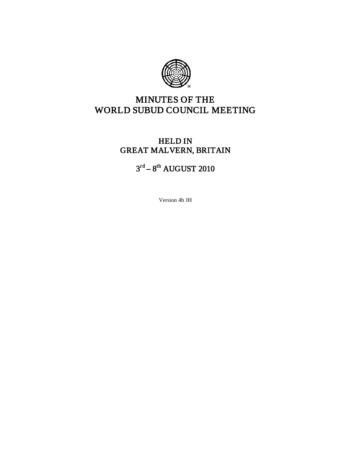

# MINUTES OF THE WORLD SUBUD COUNCIL MEETING

# HELD IN GREAT MALVERN, BRITAIN

# $3^{\text{rd}} - 8^{\text{th}}$  AUGUST 2010

Version 4b JH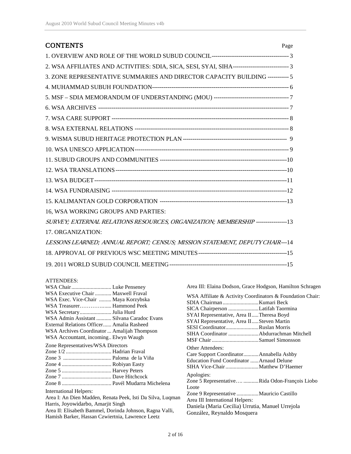| <b>CONTENTS</b>                                                                                     | Page |
|-----------------------------------------------------------------------------------------------------|------|
|                                                                                                     |      |
| 2. WSA AFFILIATES AND ACTIVITIES: SDIA, SICA, SESI, SYAI, SIHA----------------------------------- 3 |      |
| 3. ZONE REPRESENTATIVE SUMMARIES AND DIRECTOR CAPACITY BUILDING ----------- 5                       |      |
|                                                                                                     |      |
|                                                                                                     |      |
|                                                                                                     |      |
|                                                                                                     |      |
|                                                                                                     |      |
|                                                                                                     |      |
|                                                                                                     |      |
|                                                                                                     |      |
|                                                                                                     |      |
|                                                                                                     |      |
|                                                                                                     |      |
|                                                                                                     |      |
| 16, WSA WORKING GROUPS AND PARTIES:                                                                 |      |
| SURVEY; EXTERNAL RELATIONS RESOURCES, ORGANIZATION; MEMBERSHIP ----------------13                   |      |
| 17. ORGANIZATION:                                                                                   |      |
| LESSONS LEARNED; ANNUAL REPORT; CENSUS; MISSION STATEMENT, DEPUTY CHAIR---14                        |      |
|                                                                                                     |      |
|                                                                                                     |      |

#### ATTENDEES:

|                                                                                                                                                                                                                                                                                                                                                               | Area III: Elaina Dodson, Grace Hodgson, Hamilton Schragen                                                                                                                                                                                                                                                                                                 |
|---------------------------------------------------------------------------------------------------------------------------------------------------------------------------------------------------------------------------------------------------------------------------------------------------------------------------------------------------------------|-----------------------------------------------------------------------------------------------------------------------------------------------------------------------------------------------------------------------------------------------------------------------------------------------------------------------------------------------------------|
| WSA Executive Chair  Maxwell Fraval<br>WSA Exec. Vice-Chair  Maya Korzybska<br>WSA Treasurer Hammond Peek<br>WSA Secretary Julia Hurd<br>WSA Admin Assistant  Silvana Caradoc Evans<br>External Relations Officer Amalia Rasheed<br>WSA Archives Coordinator  Amalijah Thompson<br>WSA Accountant, incoming Elwyn Waugh<br>Zone Representatives/WSA Directors | WSA Affiliate & Activity Coordinators & Foundation Chair:<br>SICA Chairperson Latifah Taormina<br>SYAI Representative, Area IITheresa Boyd<br>SYAI Representative, Area IISteven Martin<br>SESI CoordinatorRuslan Morris<br><b>Other Attendees:</b><br>Care Support CoordinatorAnnabella Ashby<br>Education Fund Coordinator  Arnaud Delune<br>Apologies: |
|                                                                                                                                                                                                                                                                                                                                                               | Zone 5 RepresentativeRida Odon-François Liobo<br>Loote                                                                                                                                                                                                                                                                                                    |
| <b>International Helpers:</b>                                                                                                                                                                                                                                                                                                                                 |                                                                                                                                                                                                                                                                                                                                                           |
| Area I: An Dien Madden, Renata Peek, Isti Da Silva, Luqman                                                                                                                                                                                                                                                                                                    | Area III International Helpers:                                                                                                                                                                                                                                                                                                                           |
| Harris, Joyowidarbo, Amarjit Singh                                                                                                                                                                                                                                                                                                                            | Daniela (Maria Cecilia) Urrutia, Manuel Urrejola                                                                                                                                                                                                                                                                                                          |
| Area II: Elisabeth Bammel, Dorinda Johnson, Ragna Valli,<br>Hamish Barker, Hassan Czwiertnia, Lawrence Leetz                                                                                                                                                                                                                                                  | González, Reynaldo Mosquera                                                                                                                                                                                                                                                                                                                               |
|                                                                                                                                                                                                                                                                                                                                                               |                                                                                                                                                                                                                                                                                                                                                           |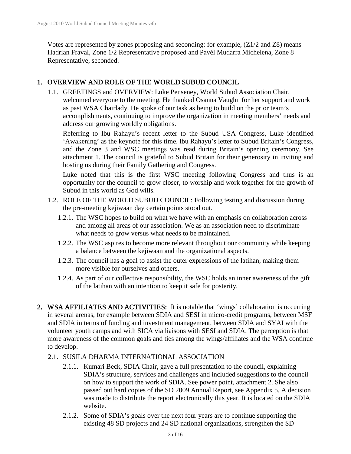Votes are represented by zones proposing and seconding: for example, (Z1/2 and Z8) means Hadrian Fraval, Zone 1/2 Representative proposed and Pavél Mudarra Michelena, Zone 8 Representative, seconded.

# 1. OVERVIEW AND ROLE OF THE WORLD SUBUD COUNCIL

1.1. GREETINGS and OVERVIEW: Luke Penseney, World Subud Association Chair, welcomed everyone to the meeting. He thanked Osanna Vaughn for her support and work as past WSA Chairlady. He spoke of our task as being to build on the prior team's accomplishments, continuing to improve the organization in meeting members' needs and address our growing worldly obligations.

Referring to Ibu Rahayu's recent letter to the Subud USA Congress, Luke identified 'Awakening' as the keynote for this time. Ibu Rahayu's letter to Subud Britain's Congress, and the Zone 3 and WSC meetings was read during Britain's opening ceremony. See attachment 1. The council is grateful to Subud Britain for their generosity in inviting and hosting us during their Family Gathering and Congress.

Luke noted that this is the first WSC meeting following Congress and thus is an opportunity for the council to grow closer, to worship and work together for the growth of Subud in this world as God wills.

- 1.2. ROLE OF THE WORLD SUBUD COUNCIL: Following testing and discussion during the pre-meeting kejiwaan day certain points stood out.
	- 1.2.1. The WSC hopes to build on what we have with an emphasis on collaboration across and among all areas of our association. We as an association need to discriminate what needs to grow versus what needs to be maintained.
	- 1.2.2. The WSC aspires to become more relevant throughout our community while keeping a balance between the kejiwaan and the organizational aspects.
	- 1.2.3. The council has a goal to assist the outer expressions of the latihan, making them more visible for ourselves and others.
	- 1.2.4. As part of our collective responsibility, the WSC holds an inner awareness of the gift of the latihan with an intention to keep it safe for posterity.
- 2. WSA AFFILIATES AND ACTIVITIES: It is notable that 'wings' collaboration is occurring in several arenas, for example between SDIA and SESI in micro-credit programs, between MSF and SDIA in terms of funding and investment management, between SDIA and SYAI with the volunteer youth camps and with SICA via liaisons with SESI and SDIA. The perception is that more awareness of the common goals and ties among the wings/affiliates and the WSA continue to develop.
	- 2.1. SUSILA DHARMA INTERNATIONAL ASSOCIATION
		- 2.1.1. Kumari Beck, SDIA Chair, gave a full presentation to the council, explaining SDIA's structure, services and challenges and included suggestions to the council on how to support the work of SDIA. See power point, attachment 2. She also passed out hard copies of the SD 2009 Annual Report, see Appendix 5. A decision was made to distribute the report electronically this year. It is located on the SDIA website.
		- 2.1.2. Some of SDIA's goals over the next four years are to continue supporting the existing 48 SD projects and 24 SD national organizations, strengthen the SD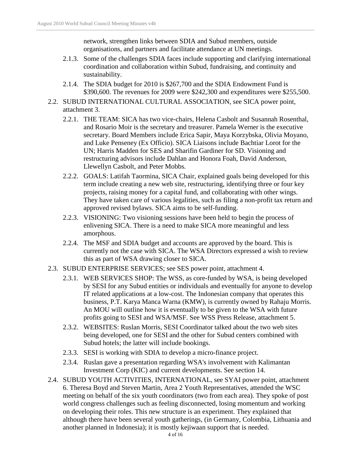network, strengthen links between SDIA and Subud members, outside organisations, and partners and facilitate attendance at UN meetings.

- 2.1.3. Some of the challenges SDIA faces include supporting and clarifying international coordination and collaboration within Subud, fundraising, and continuity and sustainability.
- 2.1.4. The SDIA budget for 2010 is \$267,700 and the SDIA Endowment Fund is \$390,600. The revenues for 2009 were \$242,300 and expenditures were \$255,500.
- 2.2. SUBUD INTERNATIONAL CULTURAL ASSOCIATION, see SICA power point, attachment 3.
	- 2.2.1. THE TEAM: SICA has two vice-chairs, Helena Casbolt and Susannah Rosenthal, and Rosario Moir is the secretary and treasurer. Pamela Werner is the executive secretary. Board Members include Erica Sapir, Maya Korzybska, Olivia Moyano, and Luke Penseney (Ex Officio). SICA Liaisons include Bachtiar Lorot for the UN; Harris Madden for SES and Sharifin Gardiner for SD. Visioning and restructuring advisors include Dahlan and Honora Foah, David Anderson, Llewellyn Casbolt, and Peter Mobbs.
	- 2.2.2. GOALS: Latifah Taormina, SICA Chair, explained goals being developed for this term include creating a new web site, restructuring, identifying three or four key projects, raising money for a capital fund, and collaborating with other wings. They have taken care of various legalities, such as filing a non-profit tax return and approved revised bylaws. SICA aims to be self-funding.
	- 2.2.3. VISIONING: Two visioning sessions have been held to begin the process of enlivening SICA. There is a need to make SICA more meaningful and less amorphous.
	- 2.2.4. The MSF and SDIA budget and accounts are approved by the board. This is currently not the case with SICA. The WSA Directors expressed a wish to review this as part of WSA drawing closer to SICA.
- 2.3. SUBUD ENTERPRISE SERVICES; see SES power point, attachment 4.
	- 2.3.1. WEB SERVICES SHOP: The WSS, as core-funded by WSA, is being developed by SESI for any Subud entities or individuals and eventually for anyone to develop IT related applications at a low-cost. The Indonesian company that operates this business, P.T. Karya Manca Warna (KMW), is currently owned by Rahaju Morris. An MOU will outline how it is eventually to be given to the WSA with future profits going to SESI and WSA/MSF. See WSS Press Release, attachment 5.
	- 2.3.2. WEBSITES: Ruslan Morris, SESI Coordinator talked about the two web sites being developed, one for SESI and the other for Subud centers combined with Subud hotels; the latter will include bookings.
	- 2.3.3. SESI is working with SDIA to develop a micro-finance project.
	- 2.3.4. Ruslan gave a presentation regarding WSA's involvement with Kalimantan Investment Corp (KIC) and current developments. See section 14.
- 2.4. SUBUD YOUTH ACTIVITIES, INTERNATIONAL, see SYAI power point, attachment 6. Theresa Boyd and Steven Martin, Area 2 Youth Representatives, attended the WSC meeting on behalf of the six youth coordinators (two from each area). They spoke of post world congress challenges such as feeling disconnected, losing momentum and working on developing their roles. This new structure is an experiment. They explained that although there have been several youth gatherings, (in Germany, Colombia, Lithuania and another planned in Indonesia); it is mostly kejiwaan support that is needed.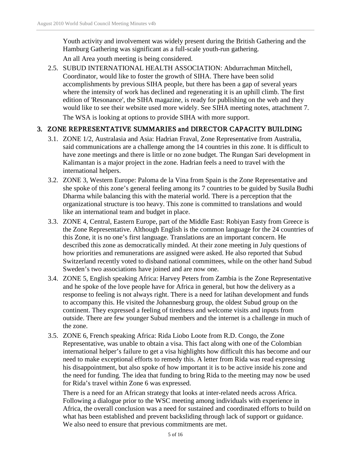Youth activity and involvement was widely present during the British Gathering and the Hamburg Gathering was significant as a full-scale youth-run gathering.

An all Area youth meeting is being considered.

2.5. SUBUD INTERNATIONAL HEALTH ASSOCIATION: Abdurrachman Mitchell, Coordinator, would like to foster the growth of SIHA. There have been solid accomplishments by previous SIHA people, but there has been a gap of several years where the intensity of work has declined and regenerating it is an uphill climb. The first edition of 'Resonance', the SIHA magazine, is ready for publishing on the web and they would like to see their website used more widely. See SIHA meeting notes, attachment 7. The WSA is looking at options to provide SIHA with more support.

# 3. ZONE REPRESENTATIVE SUMMARIES and DIRECTOR CAPACITY BUILDING

- 3.1. ZONE 1/2, Australasia and Asia: Hadrian Fraval, Zone Representative from Australia, said communications are a challenge among the 14 countries in this zone. It is difficult to have zone meetings and there is little or no zone budget. The Rungan Sari development in Kalimantan is a major project in the zone. Hadrian feels a need to travel with the international helpers.
- 3.2. ZONE 3, Western Europe: Paloma de la Vina from Spain is the Zone Representative and she spoke of this zone's general feeling among its 7 countries to be guided by Susila Budhi Dharma while balancing this with the material world. There is a perception that the organizational structure is too heavy. This zone is committed to translations and would like an international team and budget in place.
- 3.3. ZONE 4, Central, Eastern Europe, part of the Middle East: Robiyan Easty from Greece is the Zone Representative. Although English is the common language for the 24 countries of this Zone, it is no one's first language. Translations are an important concern. He described this zone as democratically minded. At their zone meeting in July questions of how priorities and remunerations are assigned were asked. He also reported that Subud Switzerland recently voted to disband national committees, while on the other hand Subud Sweden's two associations have joined and are now one.
- 3.4. ZONE 5, English speaking Africa: Harvey Peters from Zambia is the Zone Representative and he spoke of the love people have for Africa in general, but how the delivery as a response to feeling is not always right. There is a need for latihan development and funds to accompany this. He visited the Johannesburg group, the oldest Subud group on the continent. They expressed a feeling of tiredness and welcome visits and inputs from outside. There are few younger Subud members and the internet is a challenge in much of the zone.
- 3.5. ZONE 6, French speaking Africa: Rida Liobo Loote from R.D. Congo, the Zone Representative, was unable to obtain a visa. This fact along with one of the Colombian international helper's failure to get a visa highlights how difficult this has become and our need to make exceptional efforts to remedy this. A letter from Rida was read expressing his disappointment, but also spoke of how important it is to be active inside his zone and the need for funding. The idea that funding to bring Rida to the meeting may now be used for Rida's travel within Zone 6 was expressed.

There is a need for an African strategy that looks at inter-related needs across Africa. Following a dialogue prior to the WSC meeting among individuals with experience in Africa, the overall conclusion was a need for sustained and coordinated efforts to build on what has been established and prevent backsliding through lack of support or guidance. We also need to ensure that previous commitments are met.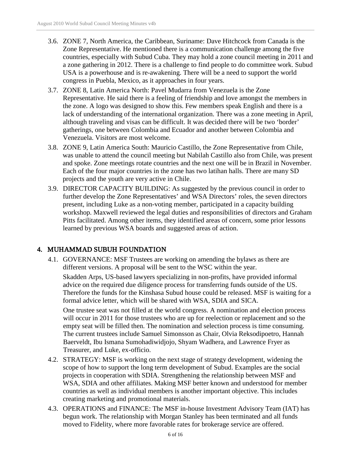- 3.6. ZONE 7, North America, the Caribbean, Suriname: Dave Hitchcock from Canada is the Zone Representative. He mentioned there is a communication challenge among the five countries, especially with Subud Cuba. They may hold a zone council meeting in 2011 and a zone gathering in 2012. There is a challenge to find people to do committee work. Subud USA is a powerhouse and is re-awakening. There will be a need to support the world congress in Puebla, Mexico, as it approaches in four years.
- 3.7. ZONE 8, Latin America North: Pavel Mudarra from Venezuela is the Zone Representative. He said there is a feeling of friendship and love amongst the members in the zone. A logo was designed to show this. Few members speak English and there is a lack of understanding of the international organization. There was a zone meeting in April, although traveling and visas can be difficult. It was decided there will be two 'border' gatherings, one between Colombia and Ecuador and another between Colombia and Venezuela. Visitors are most welcome.
- 3.8. ZONE 9, Latin America South: Mauricio Castillo, the Zone Representative from Chile, was unable to attend the council meeting but Nabilah Castillo also from Chile, was present and spoke. Zone meetings rotate countries and the next one will be in Brazil in November. Each of the four major countries in the zone has two latihan halls. There are many SD projects and the youth are very active in Chile.
- 3.9. DIRECTOR CAPACITY BUILDING: As suggested by the previous council in order to further develop the Zone Representatives' and WSA Directors' roles, the seven directors present, including Luke as a non-voting member, participated in a capacity building workshop. Maxwell reviewed the legal duties and responsibilities of directors and Graham Pitts facilitated. Among other items, they identified areas of concern, some prior lessons learned by previous WSA boards and suggested areas of action.

# 4. MUHAMMAD SUBUH FOUNDATION

4.1. GOVERNANCE: MSF Trustees are working on amending the bylaws as there are different versions. A proposal will be sent to the WSC within the year.

Skadden Arps, US-based lawyers specializing in non-profits, have provided informal advice on the required due diligence process for transferring funds outside of the US. Therefore the funds for the Kinshasa Subud house could be released. MSF is waiting for a formal advice letter, which will be shared with WSA, SDIA and SICA.

One trustee seat was not filled at the world congress. A nomination and election process will occur in 2011 for those trustees who are up for reelection or replacement and so the empty seat will be filled then. The nomination and selection process is time consuming. The current trustees include Samuel Simonsson as Chair, Olvia Reksodipoetro, Hannah Baerveldt, Ibu Ismana Sumohadiwidjojo, Shyam Wadhera, and Lawrence Fryer as Treasurer, and Luke, ex-officio.

- 4.2. STRATEGY: MSF is working on the next stage of strategy development, widening the scope of how to support the long term development of Subud. Examples are the social projects in cooperation with SDIA. Strengthening the relationship between MSF and WSA, SDIA and other affiliates. Making MSF better known and understood for member countries as well as individual members is another important objective. This includes creating marketing and promotional materials.
- 4.3. OPERATIONS and FINANCE: The MSF in-house Investment Advisory Team (IAT) has begun work. The relationship with Morgan Stanley has been terminated and all funds moved to Fidelity, where more favorable rates for brokerage service are offered.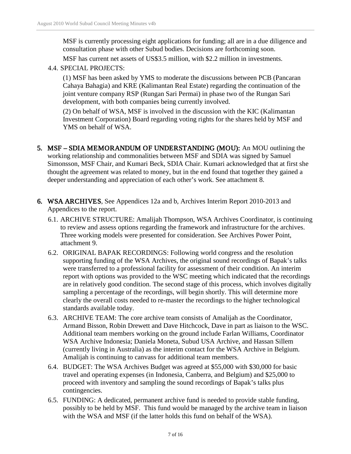MSF is currently processing eight applications for funding; all are in a due diligence and consultation phase with other Subud bodies. Decisions are forthcoming soon.

MSF has current net assets of US\$3.5 million, with \$2.2 million in investments.

4.4. SPECIAL PROJECTS:

(1) MSF has been asked by YMS to moderate the discussions between PCB (Pancaran Cahaya Bahagia) and KRE (Kalimantan Real Estate) regarding the continuation of the joint venture company RSP (Rungan Sari Permai) in phase two of the Rungan Sari development, with both companies being currently involved.

(2) On behalf of WSA, MSF is involved in the discussion with the KIC (Kalimantan Investment Corporation) Board regarding voting rights for the shares held by MSF and YMS on behalf of WSA.

- 5. MSF SDIA MEMORANDUM OF UNDERSTANDING (MOU): An MOU outlining the working relationship and commonalities between MSF and SDIA was signed by Samuel Simonsson, MSF Chair, and Kumari Beck, SDIA Chair. Kumari acknowledged that at first she thought the agreement was related to money, but in the end found that together they gained a deeper understanding and appreciation of each other's work. See attachment 8.
- 6. WSA ARCHIVES, See Appendices 12a and b, Archives Interim Report 2010-2013 and Appendices to the report.
	- 6.1. ARCHIVE STRUCTURE: Amalijah Thompson, WSA Archives Coordinator, is continuing to review and assess options regarding the framework and infrastructure for the archives. Three working models were presented for consideration. See Archives Power Point, attachment 9.
	- 6.2. ORIGINAL BAPAK RECORDINGS: Following world congress and the resolution supporting funding of the WSA Archives, the original sound recordings of Bapak's talks were transferred to a professional facility for assessment of their condition. An interim report with options was provided to the WSC meeting which indicated that the recordings are in relatively good condition. The second stage of this process, which involves digitally sampling a percentage of the recordings, will begin shortly. This will determine more clearly the overall costs needed to re-master the recordings to the higher technological standards available today.
	- 6.3. ARCHIVE TEAM: The core archive team consists of Amalijah as the Coordinator, Armand Bisson, Robin Drewett and Dave Hitchcock, Dave in part as liaison to the WSC. Additional team members working on the ground include Farlan Williams, Coordinator WSA Archive Indonesia; Daniela Moneta, Subud USA Archive, and Hassan Sillem (currently living in Australia) as the interim contact for the WSA Archive in Belgium. Amalijah is continuing to canvass for additional team members.
	- 6.4. BUDGET: The WSA Archives Budget was agreed at \$55,000 with \$30,000 for basic travel and operating expenses (in Indonesia, Canberra, and Belgium) and \$25,000 to proceed with inventory and sampling the sound recordings of Bapak's talks plus contingencies.
	- 6.5. FUNDING: A dedicated, permanent archive fund is needed to provide stable funding, possibly to be held by MSF. This fund would be managed by the archive team in liaison with the WSA and MSF (if the latter holds this fund on behalf of the WSA).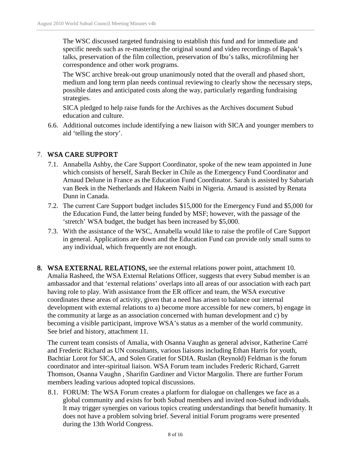The WSC discussed targeted fundraising to establish this fund and for immediate and specific needs such as re-mastering the original sound and video recordings of Bapak's talks, preservation of the film collection, preservation of Ibu's talks, microfilming her correspondence and other work programs.

The WSC archive break-out group unanimously noted that the overall and phased short, medium and long term plan needs continual reviewing to clearly show the necessary steps, possible dates and anticipated costs along the way, particularly regarding fundraising strategies.

SICA pledged to help raise funds for the Archives as the Archives document Subud education and culture.

6.6. Additional outcomes include identifying a new liaison with SICA and younger members to aid 'telling the story'.

# 7. WSA CARE SUPPORT

- 7.1. Annabella Ashby, the Care Support Coordinator, spoke of the new team appointed in June which consists of herself, Sarah Becker in Chile as the Emergency Fund Coordinator and Arnaud Delune in France as the Education Fund Coordinator. Sarah is assisted by Sabariah van Beek in the Netherlands and Hakeem Naibi in Nigeria. Arnaud is assisted by Renata Dunn in Canada.
- 7.2. The current Care Support budget includes \$15,000 for the Emergency Fund and \$5,000 for the Education Fund, the latter being funded by MSF; however, with the passage of the 'stretch' WSA budget, the budget has been increased by \$5,000.
- 7.3. With the assistance of the WSC, Annabella would like to raise the profile of Care Support in general. Applications are down and the Education Fund can provide only small sums to any individual, which frequently are not enough.
- 8. WSA EXTERNAL RELATIONS, see the external relations power point, attachment 10. Amalia Rasheed, the WSA External Relations Officer, suggests that every Subud member is an ambassador and that 'external relations' overlaps into all areas of our association with each part having role to play. With assistance from the ER officer and team, the WSA executive coordinates these areas of activity, given that a need has arisen to balance our internal development with external relations to a) become more accessible for new comers, b) engage in the community at large as an association concerned with human development and c) by becoming a visible participant, improve WSA's status as a member of the world community. See brief and history, attachment 11.

The current team consists of Amalia, with Osanna Vaughn as general advisor, Katherine Carré and Frederic Richard as UN consultants, various liaisons including Ethan Harris for youth, Bachtiar Lorot for SICA, and Solen Gratiet for SDIA. Ruslan (Reynold) Feldman is the forum coordinator and inter-spiritual liaison. WSA Forum team includes Frederic Richard, Garrett Thomson, Osanna Vaughn , Sharifin Gardiner and Victor Margolin. There are further Forum members leading various adopted topical discussions.

8.1. FORUM: The WSA Forum creates a platform for dialogue on challenges we face as a global community and exists for both Subud members and invited non-Subud individuals. It may trigger synergies on various topics creating understandings that benefit humanity. It does not have a problem solving brief. Several initial Forum programs were presented during the 13th World Congress.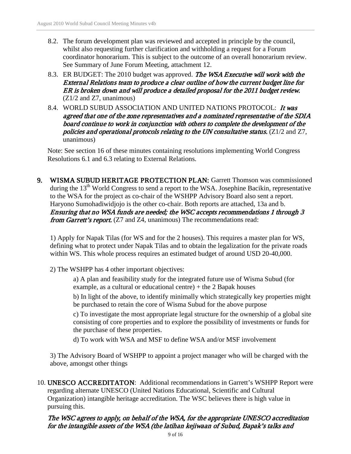- 8.2. The forum development plan was reviewed and accepted in principle by the council, whilst also requesting further clarification and withholding a request for a Forum coordinator honorarium. This is subject to the outcome of an overall honorarium review. See Summary of June Forum Meeting, attachment 12.
- 8.3. ER BUDGET: The 2010 budget was approved. The WSA Executive will work with the External Relations team to produce a clear outline of how the current budget line for ER is broken down and will produce a detailed proposal for the 2011 budget review. (Z1/2 and Z7, unanimous)
- 8.4. WORLD SUBUD ASSOCIATION AND UNITED NATIONS PROTOCOL: It was agreed that one of the zone representatives and a nominated representative of the SDIA board continue to work in conjunction with others to complete the development of the policies and operational protocols relating to the UN consultative status. (Z1/2 and Z7, unanimous)

Note: See section 16 of these minutes containing resolutions implementing World Congress Resolutions 6.1 and 6.3 relating to External Relations.

9. WISMA SUBUD HERITAGE PROTECTION PLAN: Garrett Thomson was commissioned during the 13<sup>th</sup> World Congress to send a report to the WSA. Josephine Bacikin, representative to the WSA for the project as co-chair of the WSHPP Advisory Board also sent a report. Haryono Sumohadiwidjojo is the other co-chair. Both reports are attached, 13a and b. Ensuring that no WSA funds are needed; the WSC accepts recommendations 1 through 3 from Garrett's report. (Z7 and Z4, unanimous) The recommendations read:

1) Apply for Napak Tilas (for WS and for the 2 houses). This requires a master plan for WS, defining what to protect under Napak Tilas and to obtain the legalization for the private roads within WS. This whole process requires an estimated budget of around USD 20-40,000.

- 2) The WSHPP has 4 other important objectives:
	- a) A plan and feasibility study for the integrated future use of Wisma Subud (for example, as a cultural or educational centre) + the 2 Bapak houses

b) In light of the above, to identify minimally which strategically key properties might be purchased to retain the core of Wisma Subud for the above purpose

c) To investigate the most appropriate legal structure for the ownership of a global site consisting of core properties and to explore the possibility of investments or funds for the purchase of these properties.

d) To work with WSA and MSF to define WSA and/or MSF involvement

3) The Advisory Board of WSHPP to appoint a project manager who will be charged with the above, amongst other things

10. UNESCO ACCREDITATON: Additional recommendations in Garrett's WSHPP Report were regarding alternate UNESCO (United Nations Educational, Scientific and Cultural Organization) intangible heritage accreditation. The WSC believes there is high value in pursuing this.

### The WSC agrees to apply, on behalf of the WSA, for the appropriate UNESCO accreditation for the intangible assets of the WSA (the latihan kejiwaan of Subud, Bapak's talks and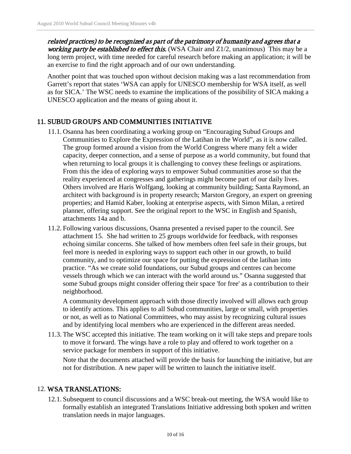related practices) to be recognized as part of the patrimony of humanity and agrees that a working party be established to effect this. (WSA Chair and  $Z1/2$ , unanimous) This may be a long term project, with time needed for careful research before making an application; it will be an exercise to find the right approach and of our own understanding.

Another point that was touched upon without decision making was a last recommendation from Garrett's report that states 'WSA can apply for UNESCO membership for WSA itself, as well as for SICA.' The WSC needs to examine the implications of the possibility of SICA making a UNESCO application and the means of going about it.

# 11. SUBUD GROUPS AND COMMUNITIES INITIATIVE

- 11.1. Osanna has been coordinating a working group on "Encouraging Subud Groups and Communities to Explore the Expression of the Latihan in the World", as it is now called. The group formed around a vision from the World Congress where many felt a wider capacity, deeper connection, and a sense of purpose as a world community, but found that when returning to local groups it is challenging to convey these feelings or aspirations. From this the idea of exploring ways to empower Subud communities arose so that the reality experienced at congresses and gatherings might become part of our daily lives. Others involved are Haris Wolfgang, looking at community building; Santa Raymond, an architect with background is in property research; Marston Gregory, an expert on greening properties; and Hamid Kaber, looking at enterprise aspects, with Simon Milan, a retired planner, offering support. See the original report to the WSC in English and Spanish, attachments 14a and b.
- 11.2. Following various discussions, Osanna presented a revised paper to the council. See attachment 15. She had written to 25 groups worldwide for feedback, with responses echoing similar concerns. She talked of how members often feel safe in their groups, but feel more is needed in exploring ways to support each other in our growth, to build community, and to optimize our space for putting the expression of the latihan into practice. "As we create solid foundations, our Subud groups and centres can become vessels through which we can interact with the world around us." Osanna suggested that some Subud groups might consider offering their space 'for free' as a contribution to their neighborhood.

A community development approach with those directly involved will allows each group to identify actions. This applies to all Subud communities, large or small, with properties or not, as well as to National Committees, who may assist by recognizing cultural issues and by identifying local members who are experienced in the different areas needed.

11.3. The WSC accepted this initiative. The team working on it will take steps and prepare tools to move it forward. The wings have a role to play and offered to work together on a service package for members in support of this initiative.

Note that the documents attached will provide the basis for launching the initiative, but are not for distribution. A new paper will be written to launch the initiative itself.

#### 12. WSA TRANSLATIONS:

12.1. Subsequent to council discussions and a WSC break-out meeting, the WSA would like to formally establish an integrated Translations Initiative addressing both spoken and written translation needs in major languages.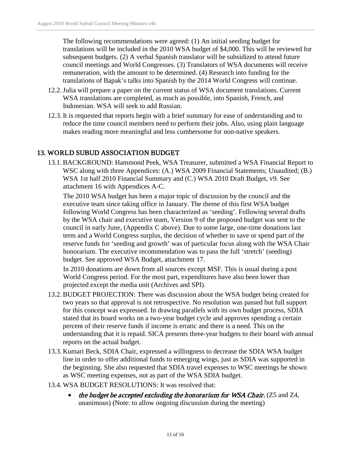The following recommendations were agreed: (1) An initial seeding budget for translations will be included in the 2010 WSA budget of \$4,000. This will be reviewed for subsequent budgets. (2) A verbal Spanish translator will be subsidized to attend future council meetings and World Congresses. (3) Translators of WSA documents will receive remuneration, with the amount to be determined. (4) Research into funding for the translations of Bapak's talks into Spanish by the 2014 World Congress will continue.

- 12.2.Julia will prepare a paper on the current status of WSA document translations. Current WSA translations are completed, as much as possible, into Spanish, French, and Indonesian. WSA will seek to add Russian.
- 12.3. It is requested that reports begin with a brief summary for ease of understanding and to reduce the time council members need to perform their jobs. Also, using plain language makes reading more meaningful and less cumbersome for non-native speakers.

# 13. WORLD SUBUD ASSOCIATION BUDGET

13.1. BACKGROUND: Hammond Peek, WSA Treasurer, submitted a WSA Financial Report to WSC along with three Appendices: (A.) WSA 2009 Financial Statements; Unaudited; (B.) WSA 1st half 2010 Financial Summary and (C.) WSA 2010 Draft Budget, v9. See attachment 16 with Appendices A-C.

The 2010 WSA budget has been a major topic of discussion by the council and the executive team since taking office in January. The theme of this first WSA budget following World Congress has been characterized as 'seeding'. Following several drafts by the WSA chair and executive team, Version 9 of the proposed budget was sent to the council in early June, (Appendix C above). Due to some large, one-time donations last term and a World Congress surplus, the decision of whether to save or spend part of the reserve funds for 'seeding and growth' was of particular focus along with the WSA Chair honorarium. The executive recommendation was to pass the full 'stretch' (seeding) budget. See approved WSA Budget, attachment 17.

In 2010 donations are down from all sources except MSF. This is usual during a post World Congress period. For the most part, expenditures have also been lower than projected except the media unit (Archives and SPI).

- 13.2. BUDGET PROJECTION: There was discussion about the WSA budget being created for two years so that approval is not retrospective. No resolution was passed but full support for this concept was expressed. In drawing parallels with its own budget process, SDIA stated that its board works on a two-year budget cycle and approves spending a certain percent of their reserve funds if income is erratic and there is a need. This on the understanding that it is repaid. SICA presents three-year budgets to their board with annual reports on the actual budget.
- 13.3. Kumari Beck, SDIA Chair, expressed a willingness to decrease the SDIA WSA budget line in order to offer additional funds to emerging wings, just as SDIA was supported in the beginning. She also requested that SDIA travel expenses to WSC meetings be shown as WSC meeting expenses, not as part of the WSA SDIA budget.
- 13.4. WSA BUDGET RESOLUTIONS: It was resolved that:
	- the budget be accepted excluding the honorarium for WSA Chair. (Z5 and Z4, unanimous) (Note: to allow ongoing discussion during the meeting)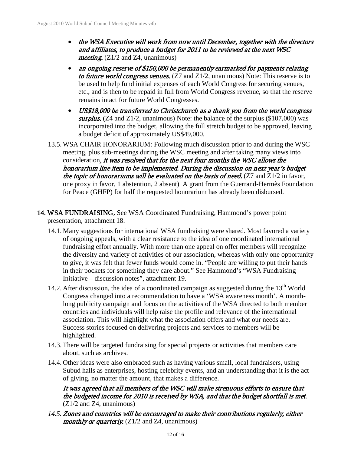- the WSA Executive will work from now until December, together with the directors and affiliates, to produce a budget for 2011 to be reviewed at the next WSC *meeting.*  $(Z1/2$  and Z4, unanimous)
- an ongoing reserve of \$150,000 be permanently earmarked for payments relating to future world congress venues.  $(Z7 \text{ and } Z1/2)$ , unanimous) Note: This reserve is to be used to help fund initial expenses of each World Congress for securing venues, etc., and is then to be repaid in full from World Congress revenue, so that the reserve remains intact for future World Congresses.
- US\$18,000 be transferred to Christchurch as a thank you from the world congress surplus. (Z4 and Z1/2, unanimous) Note: the balance of the surplus  $(\$107,000)$  was incorporated into the budget, allowing the full stretch budget to be approved, leaving a budget deficit of approximately US\$49,000.
- 13.5. WSA CHAIR HONORARIUM: Following much discussion prior to and during the WSC meeting, plus sub-meetings during the WSC meeting and after taking many views into consideration, it was resolved that for the next four months the WSC allows the honorarium line item to be implemented. During the discussion on next year's budget the topic of honorariums will be evaluated on the basis of need.  $(Z7 \text{ and } Z1/2 \text{ in favor},$ one proxy in favor, 1 abstention, 2 absent) A grant from the Guerrand-Hermès Foundation for Peace (GHFP) for half the requested honorarium has already been disbursed.
- 14. WSA FUNDRAISING, See WSA Coordinated Fundraising, Hammond's power point presentation, attachment 18.
	- 14.1. Many suggestions for international WSA fundraising were shared. Most favored a variety of ongoing appeals, with a clear resistance to the idea of one coordinated international fundraising effort annually. With more than one appeal on offer members will recognize the diversity and variety of activities of our association, whereas with only one opportunity to give, it was felt that fewer funds would come in. "People are willing to put their hands in their pockets for something they care about." See Hammond's "WSA Fundraising Initiative – discussion notes", attachment 19.
	- 14.2. After discussion, the idea of a coordinated campaign as suggested during the  $13<sup>th</sup>$  World Congress changed into a recommendation to have a 'WSA awareness month'. A monthlong publicity campaign and focus on the activities of the WSA directed to both member countries and individuals will help raise the profile and relevance of the international association. This will highlight what the association offers and what our needs are. Success stories focused on delivering projects and services to members will be highlighted.
	- 14.3. There will be targeted fundraising for special projects or activities that members care about, such as archives.
	- 14.4. Other ideas were also embraced such as having various small, local fundraisers, using Subud halls as enterprises, hosting celebrity events, and an understanding that it is the act of giving, no matter the amount, that makes a difference.

It was agreed that all members of the WSC will make strenuous efforts to ensure that the budgeted income for 2010 is received by WSA, and that the budget shortfall is met. (Z1/2 and Z4, unanimous)

*14.5.* Zones and countries will be encouraged to make their contributions regularly, either monthly or quarterly.  $(Z1/2$  and  $Z4$ , unanimous)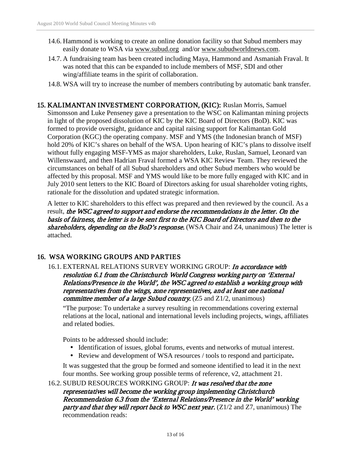- 14.6. Hammond is working to create an online donation facility so that Subud members may easily donate to WSA via [www.subud.org](http://www.subud.org/) and/or [www.subudworldnews.com.](http://www.subudworldnews.com/)
- 14.7. A fundraising team has been created including Maya, Hammond and Asmaniah Fraval. It was noted that this can be expanded to include members of MSF, SDI and other wing/affiliate teams in the spirit of collaboration.
- 14.8. WSA will try to increase the number of members contributing by automatic bank transfer.

15. KALIMANTAN INVESTMENT CORPORATION, (KIC): Ruslan Morris, Samuel Simonsson and Luke Penseney gave a presentation to the WSC on Kalimantan mining projects in light of the proposed dissolution of KIC by the KIC Board of Directors (BoD). KIC was formed to provide oversight, guidance and capital raising support for Kalimantan Gold Corporation (KGC) the operating company. MSF and YMS (the Indonesian branch of MSF) hold 20% of KIC's shares on behalf of the WSA. Upon hearing of KIC's plans to dissolve itself without fully engaging MSF-YMS as major shareholders, Luke, Ruslan, Samuel, Leonard van Willenswaard, and then Hadrian Fraval formed a WSA KIC Review Team. They reviewed the circumstances on behalf of all Subud shareholders and other Subud members who would be affected by this proposal. MSF and YMS would like to be more fully engaged with KIC and in July 2010 sent letters to the KIC Board of Directors asking for usual shareholder voting rights, rationale for the dissolution and updated strategic information.

A letter to KIC shareholders to this effect was prepared and then reviewed by the council. As a result, the WSC agreed to support and endorse the recommendations in the letter. On the basis of fairness, the letter is to be sent first to the KIC Board of Directors and then to the shareholders, depending on the BoD's response. (WSA Chair and Z4, unanimous) The letter is attached.

# 16. WSA WORKING GROUPS AND PARTIES

16.1. EXTERNAL RELATIONS SURVEY WORKING GROUP: In accordance with resolution 6.1 from the Christchurch World Congress working party on 'External Relations/Presence in the World', the WSC agreed to establish a working group with representatives from the wings, zone representatives, and at least one national *committee member of a large Subud country.*  $(Z5 \text{ and } Z1/2, \text{unanimous})$ 

"The purpose: To undertake a survey resulting in recommendations covering external relations at the local, national and international levels including projects, wings, affiliates and related bodies.

Points to be addressed should include:

- Identification of issues, global forums, events and networks of mutual interest.
- Review and development of WSA resources / tools to respond and participate**.**

It was suggested that the group be formed and someone identified to lead it in the next four months. See working group possible terms of reference, v2, attachment 21.

#### 16.2. SUBUD RESOURCES WORKING GROUP: It was resolved that the zone representatives will become the working group implementing Christchurch Recommendation 6.3 from the 'External Relations/Presence in the World' working party and that they will report back to WSC next year.  $(Z1/2$  and  $Z7$ , unanimous) The recommendation reads: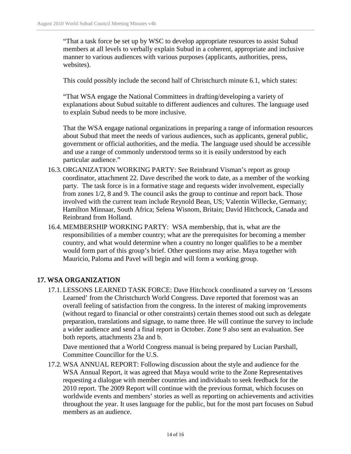"That a task force be set up by WSC to develop appropriate resources to assist Subud members at all levels to verbally explain Subud in a coherent, appropriate and inclusive manner to various audiences with various purposes (applicants, authorities, press, websites).

This could possibly include the second half of Christchurch minute 6.1, which states:

"That WSA engage the National Committees in drafting/developing a variety of explanations about Subud suitable to different audiences and cultures. The language used to explain Subud needs to be more inclusive.

That the WSA engage national organizations in preparing a range of information resources about Subud that meet the needs of various audiences, such as applicants, general public, government or official authorities, and the media. The language used should be accessible and use a range of commonly understood terms so it is easily understood by each particular audience."

- 16.3. ORGANIZATION WORKING PARTY: See Reinbrand Visman's report as group coordinator, attachment 22. Dave described the work to date, as a member of the working party. The task force is in a formative stage and requests wider involvement, especially from zones 1/2, 8 and 9. The council asks the group to continue and report back. Those involved with the current team include Reynold Bean, US; Valentin Willecke, Germany; Hamilton Minnaar, South Africa; Selena Wisnom, Britain; David Hitchcock, Canada and Reinbrand from Holland.
- 16.4. MEMBERSHIP WORKING PARTY: WSA membership, that is, what are the responsibilities of a member country; what are the prerequisites for becoming a member country, and what would determine when a country no longer qualifies to be a member would form part of this group's brief. Other questions may arise. Maya together with Mauricio, Paloma and Pavel will begin and will form a working group.

# 17. WSA ORGANIZATION

17.1. LESSONS LEARNED TASK FORCE: Dave Hitchcock coordinated a survey on 'Lessons Learned' from the Christchurch World Congress. Dave reported that foremost was an overall feeling of satisfaction from the congress. In the interest of making improvements (without regard to financial or other constraints) certain themes stood out such as delegate preparation, translations and signage, to name three. He will continue the survey to include a wider audience and send a final report in October. Zone 9 also sent an evaluation. See both reports, attachments 23a and b.

Dave mentioned that a World Congress manual is being prepared by Lucian Parshall, Committee Councillor for the U.S.

17.2. WSA ANNUAL REPORT: Following discussion about the style and audience for the WSA Annual Report, it was agreed that Maya would write to the Zone Representatives requesting a dialogue with member countries and individuals to seek feedback for the 2010 report. The 2009 Report will continue with the previous format, which focuses on worldwide events and members' stories as well as reporting on achievements and activities throughout the year. It uses language for the public, but for the most part focuses on Subud members as an audience.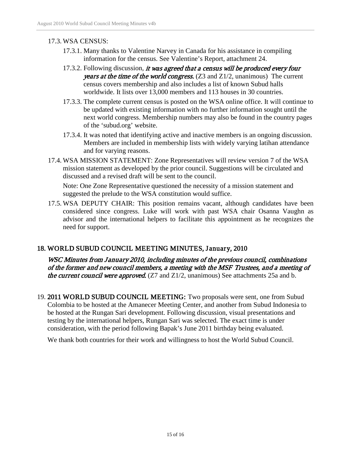### 17.3. WSA CENSUS:

- 17.3.1. Many thanks to Valentine Narvey in Canada for his assistance in compiling information for the census. See Valentine's Report, attachment 24.
- 17.3.2. Following discussion, it was agreed that a census will be produced every four years at the time of the world congress.  $(Z3 \text{ and } Z1/2)$ , unanimous) The current census covers membership and also includes a list of known Subud halls worldwide. It lists over 13,000 members and 113 houses in 30 countries.
- 17.3.3. The complete current census is posted on the WSA online office. It will continue to be updated with existing information with no further information sought until the next world congress. Membership numbers may also be found in the country pages of the 'subud.org' website.
- 17.3.4. It was noted that identifying active and inactive members is an ongoing discussion. Members are included in membership lists with widely varying latihan attendance and for varying reasons.
- 17.4. WSA MISSION STATEMENT: Zone Representatives will review version 7 of the WSA mission statement as developed by the prior council. Suggestions will be circulated and discussed and a revised draft will be sent to the council.

Note: One Zone Representative questioned the necessity of a mission statement and suggested the prelude to the WSA constitution would suffice.

17.5. WSA DEPUTY CHAIR: This position remains vacant, although candidates have been considered since congress. Luke will work with past WSA chair Osanna Vaughn as advisor and the international helpers to facilitate this appointment as he recognizes the need for support.

# 18. WORLD SUBUD COUNCIL MEETING MINUTES, January, 2010

WSC Minutes from January 2010, including minutes of the previous council, combinations of the former and new council members, a meeting with the MSF Trustees, and a meeting of the current council were approved.  $(Z7 \text{ and } Z1/2)$ , unanimous) See attachments 25a and b.

19. 2011 WORLD SUBUD COUNCIL MEETING: Two proposals were sent, one from Subud Colombia to be hosted at the Amanecer Meeting Center, and another from Subud Indonesia to be hosted at the Rungan Sari development. Following discussion, visual presentations and testing by the international helpers, Rungan Sari was selected. The exact time is under consideration, with the period following Bapak's June 2011 birthday being evaluated.

We thank both countries for their work and willingness to host the World Subud Council.